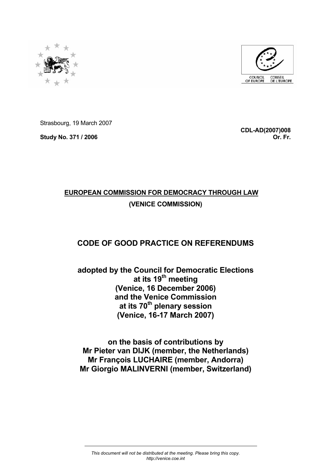



Strasbourg, 19 March 2007

**Study No. 371 / 2006** 

**CDL-AD(2007)008 Or. Fr.**

# **EUROPEAN COMMISSION FOR DEMOCRACY THROUGH LAW (VENICE COMMISSION)**

# **CODE OF GOOD PRACTICE ON REFERENDUMS**

**adopted by the Council for Democratic Elections at its 19th meeting (Venice, 16 December 2006) and the Venice Commission at its 70th plenary session (Venice, 16-17 March 2007)** 

**on the basis of contributions by Mr Pieter van DIJK (member, the Netherlands) Mr François LUCHAIRE (member, Andorra) Mr Giorgio MALINVERNI (member, Switzerland)**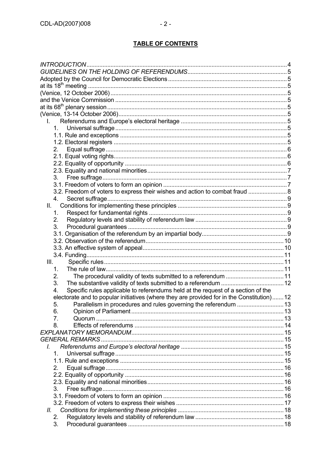# **TABLE OF CONTENTS**

| L.                                                                                         |  |
|--------------------------------------------------------------------------------------------|--|
| 1.                                                                                         |  |
|                                                                                            |  |
|                                                                                            |  |
| 2.                                                                                         |  |
|                                                                                            |  |
|                                                                                            |  |
|                                                                                            |  |
| 3.                                                                                         |  |
|                                                                                            |  |
| 3.2. Freedom of voters to express their wishes and action to combat fraud  8               |  |
| 4.                                                                                         |  |
| II.                                                                                        |  |
| 1.                                                                                         |  |
| 2.                                                                                         |  |
| 3.                                                                                         |  |
|                                                                                            |  |
|                                                                                            |  |
|                                                                                            |  |
|                                                                                            |  |
| III.                                                                                       |  |
| $\mathbf{1}$ .                                                                             |  |
| 2.                                                                                         |  |
| 3.                                                                                         |  |
| Specific rules applicable to referendums held at the request of a section of the<br>4.     |  |
| electorate and to popular initiatives (where they are provided for in the Constitution) 12 |  |
| 5.                                                                                         |  |
| 6.                                                                                         |  |
| 7                                                                                          |  |
| 8.                                                                                         |  |
|                                                                                            |  |
|                                                                                            |  |
| L                                                                                          |  |
| 1.                                                                                         |  |
|                                                                                            |  |
| 2.                                                                                         |  |
|                                                                                            |  |
|                                                                                            |  |
| 3.                                                                                         |  |
|                                                                                            |  |
|                                                                                            |  |
| II.                                                                                        |  |
| 2.                                                                                         |  |
| 3.                                                                                         |  |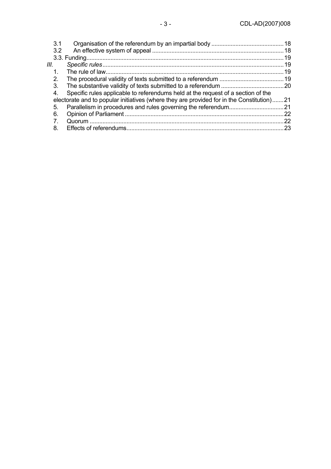| 3.1            |                                                                                           |      |
|----------------|-------------------------------------------------------------------------------------------|------|
| 3.2            |                                                                                           |      |
|                |                                                                                           |      |
| III.           |                                                                                           |      |
| 1.             |                                                                                           |      |
| 2.             |                                                                                           |      |
| 3.             |                                                                                           |      |
| 4.             | Specific rules applicable to referendums held at the request of a section of the          |      |
|                | electorate and to popular initiatives (where they are provided for in the Constitution)21 |      |
| 5.             |                                                                                           |      |
| 6.             |                                                                                           |      |
| 7 <sub>1</sub> |                                                                                           | 22   |
| 8.             |                                                                                           | . 23 |
|                |                                                                                           |      |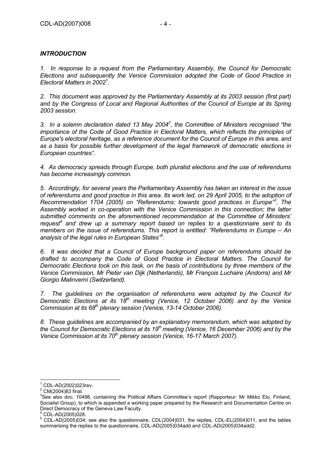# *INTRODUCTION*

*1. In response to a request from the Parliamentary Assembly, the Council for Democratic Elections and subsequently the Venice Commission adopted the Code of Good Practice in Electoral Matters in 20021 .* 

*2. This document was approved by the Parliamentary Assembly at its 2003 session (first part) and by the Congress of Local and Regional Authorities of the Council of Europe at its Spring 2003 session.* 

*3. In a solemn declaration dated 13 May 20042 , the Committee of Ministers recognised "the importance of the Code of Good Practice in Electoral Matters, which reflects the principles of Europe's electoral heritage, as a reference document for the Council of Europe in this area, and as a basis for possible further development of the legal framework of democratic elections in European countries".* 

*4. As democracy spreads through Europe, both pluralist elections and the use of referendums has become increasingly common.* 

*5. Accordingly, for several years the Parliamentary Assembly has taken an interest in the issue of referendums and good practice in this area. Its work led, on 29 April 2005, to the adoption of Recommendation 1704 (2005) on "Referendums: towards good practices in Europe"3 . The Assembly worked in co-operation with the Venice Commission in this connection; the latter submitted comments on the aforementioned recommendation at the Committee of Ministers'*  request<sup>4</sup> and drew up a summary report based on replies to a questionnaire sent to its *members on the issue of referendums. This report is entitled: "Referendums in Europe – An analysis of the legal rules in European States"5 .* 

*6. It was decided that a Council of Europe background paper on referendums should be drafted to accompany the Code of Good Practice in Electoral Matters. The Council for Democratic Elections took on this task, on the basis of contributions by three members of the Venice Commission, Mr Pieter van Dijk (Netherlands), Mr François Luchaire (Andorra) and Mr Giorgio Malinverni (Switzerland).* 

*7. The guidelines on the organisation of referendums were adopted by the Council for Democratic Elections at its 18th meeting (Venice, 12 October 2006) and by the Venice Commission at its 68th plenary session (Venice, 13-14 October 2006).* 

*8. These guidelines are accompanied by an explanatory memorandum, which was adopted by the Council for Democratic Elections at its 19th meeting (Venice, 16 December 2006) and by the Venice Commission at its 70<sup>th</sup> plenary session (Venice, 16-17 March 2007).* 

 $\overline{a}$ 

<sup>1</sup> CDL-AD(2002)023rev.

<sup>2</sup> CM(2004)83 final.

<sup>&</sup>lt;sup>3</sup>See also doc. 10498, containing the Political Affairs Committee's report (Rapporteur: Mr Mikko Elo, Finland, Socialist Group), to which is appended a working paper prepared by the Research and Documentation Centre on Direct Democracy of the Geneva Law Faculty.<br><sup>4</sup> CDL AD(2005)028

CDL-AD(2005)028.

 $5$  CDL-AD(2005)034; see also the questionnaire, CDL(2004)031, the replies, CDL-EL(2004)011, and the tables summarising the replies to the questionnaire, CDL-AD(2005)034add and CDL-AD(2005)034add2.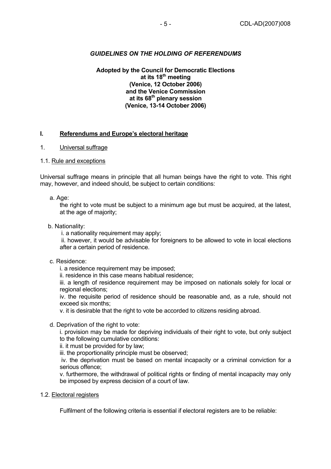# *GUIDELINES ON THE HOLDING OF REFERENDUMS*

#### **Adopted by the Council for Democratic Elections at its 18th meeting (Venice, 12 October 2006) and the Venice Commission at its 68th plenary session (Venice, 13-14 October 2006)**

# **I. Referendums and Europe's electoral heritage**

# 1. Universal suffrage

#### 1.1. Rule and exceptions

Universal suffrage means in principle that all human beings have the right to vote. This right may, however, and indeed should, be subject to certain conditions:

#### a. Age:

the right to vote must be subject to a minimum age but must be acquired, at the latest, at the age of majority;

#### b. Nationality:

i. a nationality requirement may apply;

 ii. however, it would be advisable for foreigners to be allowed to vote in local elections after a certain period of residence.

#### c. Residence:

i. a residence requirement may be imposed;

ii. residence in this case means habitual residence;

iii. a length of residence requirement may be imposed on nationals solely for local or regional elections;

iv. the requisite period of residence should be reasonable and, as a rule, should not exceed six months;

v. it is desirable that the right to vote be accorded to citizens residing abroad.

# d. Deprivation of the right to vote:

i. provision may be made for depriving individuals of their right to vote, but only subject to the following cumulative conditions:

ii. it must be provided for by law;

iii. the proportionality principle must be observed;

 iv. the deprivation must be based on mental incapacity or a criminal conviction for a serious offence;

v. furthermore, the withdrawal of political rights or finding of mental incapacity may only be imposed by express decision of a court of law.

#### 1.2. Electoral registers

Fulfilment of the following criteria is essential if electoral registers are to be reliable: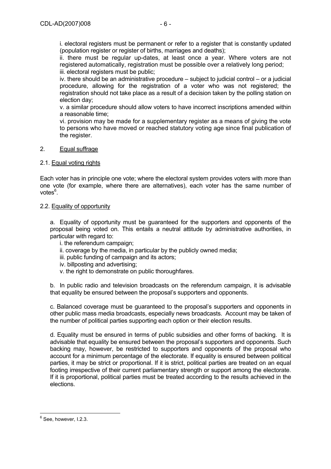i. electoral registers must be permanent or refer to a register that is constantly updated (population register or register of births, marriages and deaths);

ii. there must be regular up-dates, at least once a year. Where voters are not registered automatically, registration must be possible over a relatively long period; iii. electoral registers must be public:

iv. there should be an administrative procedure – subject to judicial control – or a judicial procedure, allowing for the registration of a voter who was not registered; the registration should not take place as a result of a decision taken by the polling station on election day;

v. a similar procedure should allow voters to have incorrect inscriptions amended within a reasonable time;

vi. provision may be made for a supplementary register as a means of giving the vote to persons who have moved or reached statutory voting age since final publication of the register.

#### 2. Equal suffrage

#### 2.1. Equal voting rights

Each voter has in principle one vote; where the electoral system provides voters with more than one vote (for example, where there are alternatives), each voter has the same number of votes<sup>6</sup>.

#### 2.2. Equality of opportunity

a. Equality of opportunity must be guaranteed for the supporters and opponents of the proposal being voted on. This entails a neutral attitude by administrative authorities, in particular with regard to:

- i. the referendum campaign;
- ii. coverage by the media, in particular by the publicly owned media;
- iii. public funding of campaign and its actors;
- iv. billposting and advertising;
- v. the right to demonstrate on public thoroughfares.

b. In public radio and television broadcasts on the referendum campaign, it is advisable that equality be ensured between the proposal's supporters and opponents.

c. Balanced coverage must be guaranteed to the proposal's supporters and opponents in other public mass media broadcasts, especially news broadcasts. Account may be taken of the number of political parties supporting each option or their election results.

d. Equality must be ensured in terms of public subsidies and other forms of backing. It is advisable that equality be ensured between the proposal's supporters and opponents. Such backing may, however, be restricted to supporters and opponents of the proposal who account for a minimum percentage of the electorate. If equality is ensured between political parties, it may be strict or proportional. If it is strict, political parties are treated on an equal footing irrespective of their current parliamentary strength or support among the electorate. If it is proportional, political parties must be treated according to the results achieved in the elections.

<sup>&</sup>lt;u>e</u><br><sup>6</sup> See, however, I.2.3.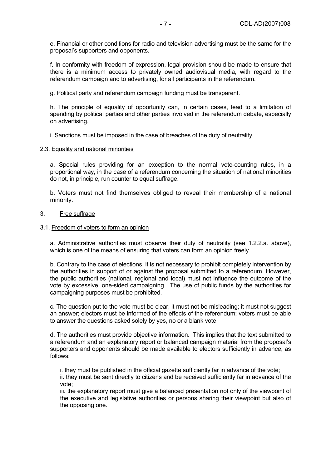e. Financial or other conditions for radio and television advertising must be the same for the proposal's supporters and opponents.

f. In conformity with freedom of expression, legal provision should be made to ensure that there is a minimum access to privately owned audiovisual media, with regard to the referendum campaign and to advertising, for all participants in the referendum.

g. Political party and referendum campaign funding must be transparent.

h. The principle of equality of opportunity can, in certain cases, lead to a limitation of spending by political parties and other parties involved in the referendum debate, especially on advertising.

i. Sanctions must be imposed in the case of breaches of the duty of neutrality.

#### 2.3. Equality and national minorities

a. Special rules providing for an exception to the normal vote-counting rules, in a proportional way, in the case of a referendum concerning the situation of national minorities do not, in principle, run counter to equal suffrage.

b. Voters must not find themselves obliged to reveal their membership of a national minority.

#### 3. Free suffrage

#### 3.1. Freedom of voters to form an opinion

a. Administrative authorities must observe their duty of neutrality (see 1.2.2.a. above), which is one of the means of ensuring that voters can form an opinion freely.

b. Contrary to the case of elections, it is not necessary to prohibit completely intervention by the authorities in support of or against the proposal submitted to a referendum. However, the public authorities (national, regional and local) must not influence the outcome of the vote by excessive, one-sided campaigning. The use of public funds by the authorities for campaigning purposes must be prohibited.

c. The question put to the vote must be clear; it must not be misleading; it must not suggest an answer; electors must be informed of the effects of the referendum; voters must be able to answer the questions asked solely by yes, no or a blank vote.

d. The authorities must provide objective information. This implies that the text submitted to a referendum and an explanatory report or balanced campaign material from the proposal's supporters and opponents should be made available to electors sufficiently in advance, as follows:

i. they must be published in the official gazette sufficiently far in advance of the vote; ii. they must be sent directly to citizens and be received sufficiently far in advance of the vote;

iii. the explanatory report must give a balanced presentation not only of the viewpoint of the executive and legislative authorities or persons sharing their viewpoint but also of the opposing one.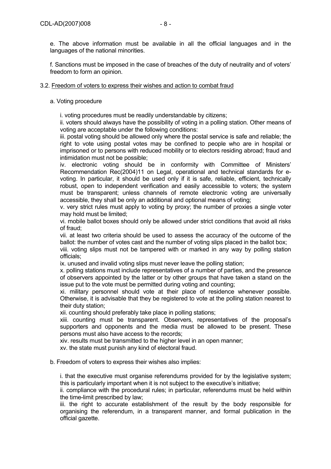e. The above information must be available in all the official languages and in the languages of the national minorities.

f. Sanctions must be imposed in the case of breaches of the duty of neutrality and of voters' freedom to form an opinion.

#### 3.2. Freedom of voters to express their wishes and action to combat fraud

#### a. Voting procedure

i. voting procedures must be readily understandable by citizens;

ii. voters should always have the possibility of voting in a polling station. Other means of voting are acceptable under the following conditions:

iii. postal voting should be allowed only where the postal service is safe and reliable; the right to vote using postal votes may be confined to people who are in hospital or imprisoned or to persons with reduced mobility or to electors residing abroad; fraud and intimidation must not be possible;

iv. electronic voting should be in conformity with Committee of Ministers' Recommendation Rec(2004)11 on Legal, operational and technical standards for evoting. In particular, it should be used only if it is safe, reliable, efficient, technically robust, open to independent verification and easily accessible to voters; the system must be transparent; unless channels of remote electronic voting are universally accessible, they shall be only an additional and optional means of voting;

v. very strict rules must apply to voting by proxy; the number of proxies a single voter may hold must be limited;

vi. mobile ballot boxes should only be allowed under strict conditions that avoid all risks of fraud;

vii. at least two criteria should be used to assess the accuracy of the outcome of the ballot: the number of votes cast and the number of voting slips placed in the ballot box;

viii. voting slips must not be tampered with or marked in any way by polling station officials;

ix. unused and invalid voting slips must never leave the polling station;

x. polling stations must include representatives of a number of parties, and the presence of observers appointed by the latter or by other groups that have taken a stand on the issue put to the vote must be permitted during voting and counting;

xi. military personnel should vote at their place of residence whenever possible. Otherwise, it is advisable that they be registered to vote at the polling station nearest to their duty station;

xii. counting should preferably take place in polling stations;

xiii. counting must be transparent. Observers, representatives of the proposal's supporters and opponents and the media must be allowed to be present. These persons must also have access to the records;

xiv. results must be transmitted to the higher level in an open manner;

xv. the state must punish any kind of electoral fraud.

b. Freedom of voters to express their wishes also implies:

i. that the executive must organise referendums provided for by the legislative system; this is particularly important when it is not subject to the executive's initiative;

ii. compliance with the procedural rules; in particular, referendums must be held within the time-limit prescribed by law;

iii. the right to accurate establishment of the result by the body responsible for organising the referendum, in a transparent manner, and formal publication in the official gazette.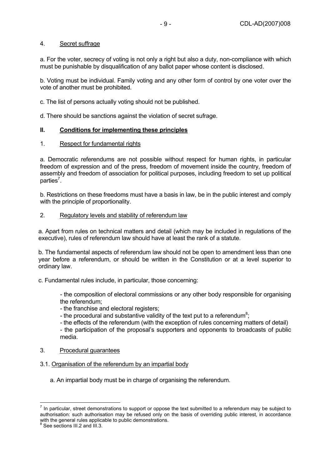# 4. Secret suffrage

a. For the voter, secrecy of voting is not only a right but also a duty, non-compliance with which must be punishable by disqualification of any ballot paper whose content is disclosed.

b. Voting must be individual. Family voting and any other form of control by one voter over the vote of another must be prohibited.

c. The list of persons actually voting should not be published.

d. There should be sanctions against the violation of secret sufrage.

# **II. Conditions for implementing these principles**

# 1. Respect for fundamental rights

a. Democratic referendums are not possible without respect for human rights, in particular freedom of expression and of the press, freedom of movement inside the country, freedom of assembly and freedom of association for political purposes, including freedom to set up political parties<sup>7</sup>.

b. Restrictions on these freedoms must have a basis in law, be in the public interest and comply with the principle of proportionality.

# 2. Regulatory levels and stability of referendum law

a. Apart from rules on technical matters and detail (which may be included in regulations of the executive), rules of referendum law should have at least the rank of a statute.

b. The fundamental aspects of referendum law should not be open to amendment less than one year before a referendum, or should be written in the Constitution or at a level superior to ordinary law.

c. Fundamental rules include, in particular, those concerning:

- the composition of electoral commissions or any other body responsible for organising the referendum;

- the franchise and electoral registers;

- the procedural and substantive validity of the text put to a referendum<sup>8</sup>;

- the effects of the referendum (with the exception of rules concerning matters of detail)

- the participation of the proposal's supporters and opponents to broadcasts of public media.

# 3. Procedural guarantees

# 3.1. Organisation of the referendum by an impartial body

a. An impartial body must be in charge of organising the referendum.

The particular, street demonstrations to support or oppose the text submitted to a referendum may be subject to<br>The particular, street demonstrations to support or oppose the text submitted to a referendum may be subject t authorisation: such authorisation may be refused only on the basis of overriding public interest, in accordance with the general rules applicable to public demonstrations.<br><sup>8</sup> See sections III.2 and III.3.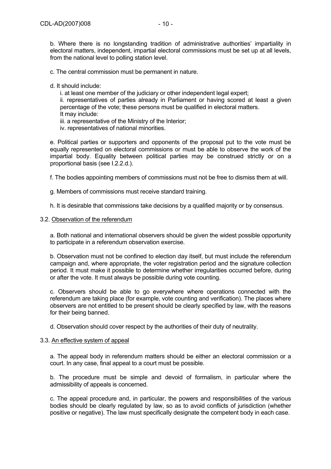b. Where there is no longstanding tradition of administrative authorities' impartiality in electoral matters, independent, impartial electoral commissions must be set up at all levels, from the national level to polling station level.

c. The central commission must be permanent in nature.

d. It should include:

i. at least one member of the judiciary or other independent legal expert;

ii. representatives of parties already in Parliament or having scored at least a given percentage of the vote; these persons must be qualified in electoral matters. It may include:

iii. a representative of the Ministry of the Interior;

iv. representatives of national minorities.

e. Political parties or supporters and opponents of the proposal put to the vote must be equally represented on electoral commissions or must be able to observe the work of the impartial body. Equality between political parties may be construed strictly or on a proportional basis (see I.2.2.d.).

f. The bodies appointing members of commissions must not be free to dismiss them at will.

g. Members of commissions must receive standard training.

h. It is desirable that commissions take decisions by a qualified majority or by consensus.

#### 3.2. Observation of the referendum

a. Both national and international observers should be given the widest possible opportunity to participate in a referendum observation exercise.

b. Observation must not be confined to election day itself, but must include the referendum campaign and, where appropriate, the voter registration period and the signature collection period. It must make it possible to determine whether irregularities occurred before, during or after the vote. It must always be possible during vote counting.

c. Observers should be able to go everywhere where operations connected with the referendum are taking place (for example, vote counting and verification). The places where observers are not entitled to be present should be clearly specified by law, with the reasons for their being banned.

d. Observation should cover respect by the authorities of their duty of neutrality.

#### 3.3. An effective system of appeal

a. The appeal body in referendum matters should be either an electoral commission or a court. In any case, final appeal to a court must be possible.

b. The procedure must be simple and devoid of formalism, in particular where the admissibility of appeals is concerned.

c. The appeal procedure and, in particular, the powers and responsibilities of the various bodies should be clearly regulated by law, so as to avoid conflicts of jurisdiction (whether positive or negative). The law must specifically designate the competent body in each case.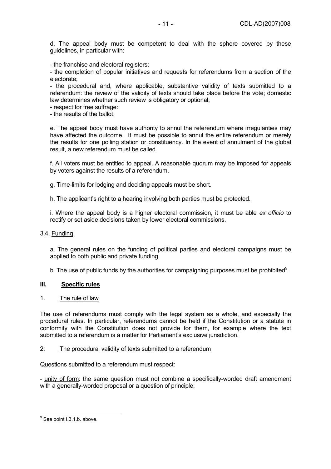d. The appeal body must be competent to deal with the sphere covered by these guidelines, in particular with:

- the franchise and electoral registers;

- the completion of popular initiatives and requests for referendums from a section of the electorate;

- the procedural and, where applicable, substantive validity of texts submitted to a referendum: the review of the validity of texts should take place before the vote; domestic law determines whether such review is obligatory or optional;

- respect for free suffrage:

- the results of the ballot.

e. The appeal body must have authority to annul the referendum where irregularities may have affected the outcome. It must be possible to annul the entire referendum or merely the results for one polling station or constituency. In the event of annulment of the global result, a new referendum must be called.

f. All voters must be entitled to appeal. A reasonable quorum may be imposed for appeals by voters against the results of a referendum.

g. Time-limits for lodging and deciding appeals must be short.

h. The applicant's right to a hearing involving both parties must be protected.

i. Where the appeal body is a higher electoral commission, it must be able *ex officio* to rectify or set aside decisions taken by lower electoral commissions.

#### 3.4. Funding

a. The general rules on the funding of political parties and electoral campaigns must be applied to both public and private funding.

b. The use of public funds by the authorities for campaigning purposes must be prohibited<sup>9</sup>.

#### **III. Specific rules**

#### 1. The rule of law

The use of referendums must comply with the legal system as a whole, and especially the procedural rules. In particular, referendums cannot be held if the Constitution or a statute in conformity with the Constitution does not provide for them, for example where the text submitted to a referendum is a matter for Parliament's exclusive jurisdiction.

#### 2. The procedural validity of texts submitted to a referendum

Questions submitted to a referendum must respect:

- unity of form: the same question must not combine a specifically-worded draft amendment with a generally-worded proposal or a question of principle;

end<br><sup>9</sup> See point I.3.1.b. above.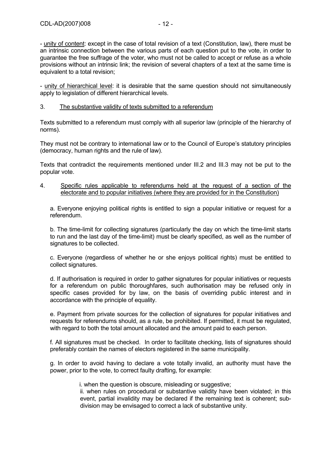- unity of content: except in the case of total revision of a text (Constitution, law), there must be an intrinsic connection between the various parts of each question put to the vote, in order to guarantee the free suffrage of the voter, who must not be called to accept or refuse as a whole provisions without an intrinsic link; the revision of several chapters of a text at the same time is equivalent to a total revision;

- unity of hierarchical level: it is desirable that the same question should not simultaneously apply to legislation of different hierarchical levels.

#### 3. The substantive validity of texts submitted to a referendum

Texts submitted to a referendum must comply with all superior law (principle of the hierarchy of norms).

They must not be contrary to international law or to the Council of Europe's statutory principles (democracy, human rights and the rule of law).

Texts that contradict the requirements mentioned under III.2 and III.3 may not be put to the popular vote.

4. Specific rules applicable to referendums held at the request of a section of the electorate and to popular initiatives (where they are provided for in the Constitution)

a. Everyone enjoying political rights is entitled to sign a popular initiative or request for a referendum.

b. The time-limit for collecting signatures (particularly the day on which the time-limit starts to run and the last day of the time-limit) must be clearly specified, as well as the number of signatures to be collected.

c. Everyone (regardless of whether he or she enjoys political rights) must be entitled to collect signatures.

d. If authorisation is required in order to gather signatures for popular initiatives or requests for a referendum on public thoroughfares, such authorisation may be refused only in specific cases provided for by law, on the basis of overriding public interest and in accordance with the principle of equality.

e. Payment from private sources for the collection of signatures for popular initiatives and requests for referendums should, as a rule, be prohibited. If permitted, it must be regulated, with regard to both the total amount allocated and the amount paid to each person.

f. All signatures must be checked. In order to facilitate checking, lists of signatures should preferably contain the names of electors registered in the same municipality.

g. In order to avoid having to declare a vote totally invalid, an authority must have the power, prior to the vote, to correct faulty drafting, for example:

i. when the question is obscure, misleading or suggestive;

ii. when rules on procedural or substantive validity have been violated; in this event, partial invalidity may be declared if the remaining text is coherent; subdivision may be envisaged to correct a lack of substantive unity.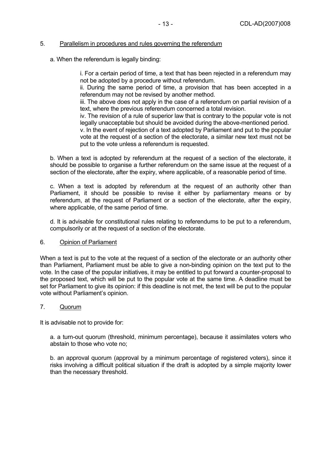#### 5. Parallelism in procedures and rules governing the referendum

a. When the referendum is legally binding:

i. For a certain period of time, a text that has been rejected in a referendum may not be adopted by a procedure without referendum.

ii. During the same period of time, a provision that has been accepted in a referendum may not be revised by another method.

iii. The above does not apply in the case of a referendum on partial revision of a text, where the previous referendum concerned a total revision.

iv. The revision of a rule of superior law that is contrary to the popular vote is not legally unacceptable but should be avoided during the above-mentioned period.

v. In the event of rejection of a text adopted by Parliament and put to the popular vote at the request of a section of the electorate, a similar new text must not be put to the vote unless a referendum is requested.

b. When a text is adopted by referendum at the request of a section of the electorate, it should be possible to organise a further referendum on the same issue at the request of a section of the electorate, after the expiry, where applicable, of a reasonable period of time.

c. When a text is adopted by referendum at the request of an authority other than Parliament, it should be possible to revise it either by parliamentary means or by referendum, at the request of Parliament or a section of the electorate, after the expiry, where applicable, of the same period of time.

d. It is advisable for constitutional rules relating to referendums to be put to a referendum, compulsorily or at the request of a section of the electorate.

#### 6. Opinion of Parliament

When a text is put to the vote at the request of a section of the electorate or an authority other than Parliament, Parliament must be able to give a non-binding opinion on the text put to the vote. In the case of the popular initiatives, it may be entitled to put forward a counter-proposal to the proposed text, which will be put to the popular vote at the same time. A deadline must be set for Parliament to give its opinion: if this deadline is not met, the text will be put to the popular vote without Parliament's opinion.

# 7. Quorum

It is advisable not to provide for:

a. a turn-out quorum (threshold, minimum percentage), because it assimilates voters who abstain to those who vote no;

b. an approval quorum (approval by a minimum percentage of registered voters), since it risks involving a difficult political situation if the draft is adopted by a simple majority lower than the necessary threshold.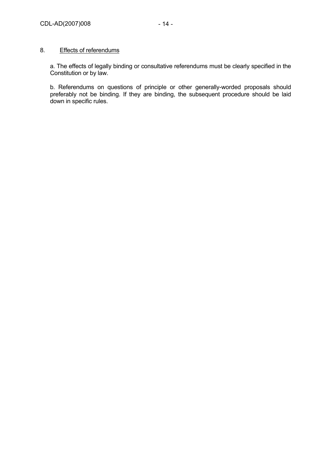# 8. Effects of referendums

a. The effects of legally binding or consultative referendums must be clearly specified in the Constitution or by law.

b. Referendums on questions of principle or other generally-worded proposals should preferably not be binding. If they are binding, the subsequent procedure should be laid down in specific rules.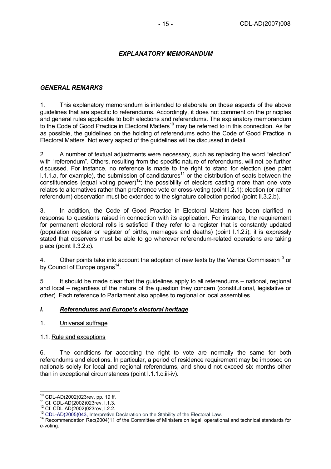# *EXPLANATORY MEMORANDUM*

# *GENERAL REMARKS*

1. This explanatory memorandum is intended to elaborate on those aspects of the above guidelines that are specific to referendums. Accordingly, it does not comment on the principles and general rules applicable to both elections and referendums. The explanatory memorandum to the Code of Good Practice in Electoral Matters<sup>10</sup> may be referred to in this connection. As far as possible, the guidelines on the holding of referendums echo the Code of Good Practice in Electoral Matters. Not every aspect of the guidelines will be discussed in detail.

2. A number of textual adjustments were necessary, such as replacing the word "election" with "referendum". Others, resulting from the specific nature of referendums, will not be further discussed. For instance, no reference is made to the right to stand for election (see point I.1.1.a, for example), the submission of candidatures<sup>11</sup> or the distribution of seats between the constituencies (equal voting power)<sup>12</sup>; the possibility of electors casting more than one vote relates to alternatives rather than preference vote or cross-voting (point I.2.1); election (or rather referendum) observation must be extended to the signature collection period (point II.3.2.b).

3. In addition, the Code of Good Practice in Electoral Matters has been clarified in response to questions raised in connection with its application. For instance, the requirement for permanent electoral rolls is satisfied if they refer to a register that is constantly updated (population register or register of births, marriages and deaths) (point I.1.2.i); it is expressly stated that observers must be able to go wherever referendum-related operations are taking place (point II.3.2.c).

4. Other points take into account the adoption of new texts by the Venice Commission<sup>13</sup> or by Council of Europe organs<sup>14</sup>.

5. It should be made clear that the guidelines apply to all referendums – national, regional and local – regardless of the nature of the question they concern (constitutional, legislative or other). Each reference to Parliament also applies to regional or local assemblies.

# *I. Referendums and Europe's electoral heritage*

1. Universal suffrage

# 1.1. Rule and exceptions

6. The conditions for according the right to vote are normally the same for both referendums and elections. In particular, a period of residence requirement may be imposed on nationals solely for local and regional referendums, and should not exceed six months other than in exceptional circumstances (point I.1.1.c.iii-iv).

<sup>&</sup>lt;sup>10</sup> CDL-AD(2002)023rev, pp. 19 ff.

<sup>&</sup>lt;sup>11</sup> Cf. CDL-AD(2002)023rev, 1.1.3.<br><sup>12</sup> Cf. CDL-AD(2002)023rev, 1.2.2.<br><sup>13</sup> CDL-AD(2005)043, Interpretive Declaration on the Stability of the Electoral Law.<br><sup>13</sup> Recommendation Rec(2004)11 of the Committee of Ministers o e-voting.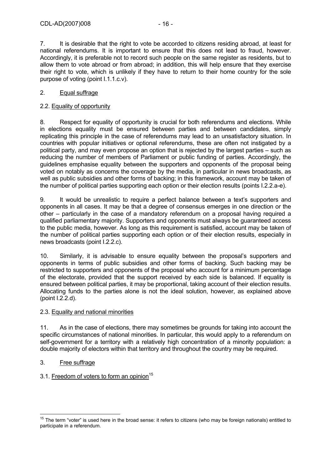7. It is desirable that the right to vote be accorded to citizens residing abroad, at least for national referendums. It is important to ensure that this does not lead to fraud, however. Accordingly, it is preferable not to record such people on the same register as residents, but to allow them to vote abroad or from abroad; in addition, this will help ensure that they exercise their right to vote, which is unlikely if they have to return to their home country for the sole purpose of voting (point I.1.1.c.v).

# 2. Equal suffrage

# 2.2. Equality of opportunity

8. Respect for equality of opportunity is crucial for both referendums and elections. While in elections equality must be ensured between parties and between candidates, simply replicating this principle in the case of referendums may lead to an unsatisfactory situation. In countries with popular initiatives or optional referendums, these are often not instigated by a political party, and may even propose an option that is rejected by the largest parties – such as reducing the number of members of Parliament or public funding of parties. Accordingly, the guidelines emphasise equality between the supporters and opponents of the proposal being voted on notably as concerns the coverage by the media, in particular in news broadcasts, as well as public subsidies and other forms of backing; in this framework, account may be taken of the number of political parties supporting each option or their election results (points I.2.2.a-e).

9. It would be unrealistic to require a perfect balance between a text's supporters and opponents in all cases. It may be that a degree of consensus emerges in one direction or the other – particularly in the case of a mandatory referendum on a proposal having required a qualified parliamentary majority. Supporters and opponents must always be guaranteed access to the public media, however. As long as this requirement is satisfied, account may be taken of the number of political parties supporting each option or of their election results, especially in news broadcasts (point I.2.2.c).

10. Similarly, it is advisable to ensure equality between the proposal's supporters and opponents in terms of public subsidies and other forms of backing. Such backing may be restricted to supporters and opponents of the proposal who account for a minimum percentage of the electorate, provided that the support received by each side is balanced. If equality is ensured between political parties, it may be proportional, taking account of their election results. Allocating funds to the parties alone is not the ideal solution, however, as explained above (point I.2.2.d).

# 2.3. Equality and national minorities

11. As in the case of elections, there may sometimes be grounds for taking into account the specific circumstances of national minorities. In particular, this would apply to a referendum on self-government for a territory with a relatively high concentration of a minority population: a double majority of electors within that territory and throughout the country may be required.

# 3. Free suffrage

# 3.1. Freedom of voters to form an opinion<sup>15</sup>

 $\overline{a}$ <sup>15</sup> The term "voter" is used here in the broad sense: it refers to citizens (who may be foreign nationals) entitled to participate in a referendum.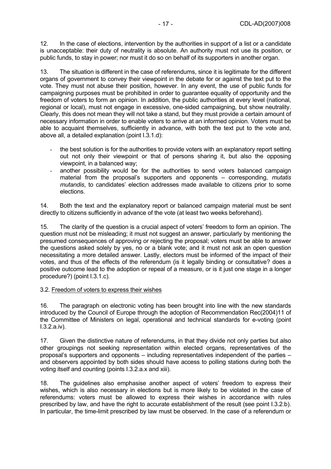12. In the case of elections, intervention by the authorities in support of a list or a candidate is unacceptable: their duty of neutrality is absolute. An authority must not use its position, or public funds, to stay in power; nor must it do so on behalf of its supporters in another organ.

13. The situation is different in the case of referendums, since it is legitimate for the different organs of government to convey their viewpoint in the debate for or against the text put to the vote. They must not abuse their position, however. In any event, the use of public funds for campaigning purposes must be prohibited in order to guarantee equality of opportunity and the freedom of voters to form an opinion. In addition, the public authorities at every level (national, regional or local), must not engage in excessive, one-sided campaigning, but show neutrality. Clearly, this does not mean they will not take a stand, but they must provide a certain amount of necessary information in order to enable voters to arrive at an informed opinion. Voters must be able to acquaint themselves, sufficiently in advance, with both the text put to the vote and, above all, a detailed explanation (point I.3.1.d):

- the best solution is for the authorities to provide voters with an explanatory report setting out not only their viewpoint or that of persons sharing it, but also the opposing viewpoint, in a balanced way;
- another possibility would be for the authorities to send voters balanced campaign material from the proposal's supporters and opponents – corresponding, *mutatis mutandis*, to candidates' election addresses made available to citizens prior to some elections.

14. Both the text and the explanatory report or balanced campaign material must be sent directly to citizens sufficiently in advance of the vote (at least two weeks beforehand).

15. The clarity of the question is a crucial aspect of voters' freedom to form an opinion. The question must not be misleading; it must not suggest an answer, particularly by mentioning the presumed consequences of approving or rejecting the proposal; voters must be able to answer the questions asked solely by yes, no or a blank vote; and it must not ask an open question necessitating a more detailed answer. Lastly, electors must be informed of the impact of their votes, and thus of the effects of the referendum (is it legally binding or consultative? does a positive outcome lead to the adoption or repeal of a measure, or is it just one stage in a longer procedure?) (point I.3.1.c).

# 3.2. Freedom of voters to express their wishes

16. The paragraph on electronic voting has been brought into line with the new standards introduced by the Council of Europe through the adoption of Recommendation Rec(2004)11 of the Committee of Ministers on legal, operational and technical standards for e-voting (point I.3.2.a.iv).

17. Given the distinctive nature of referendums, in that they divide not only parties but also other groupings not seeking representation within elected organs, representatives of the proposal's supporters and opponents – including representatives independent of the parties – and observers appointed by both sides should have access to polling stations during both the voting itself and counting (points I.3.2.a.x and xiii).

18. The guidelines also emphasise another aspect of voters' freedom to express their wishes, which is also necessary in elections but is more likely to be violated in the case of referendums: voters must be allowed to express their wishes in accordance with rules prescribed by law, and have the right to accurate establishment of the result (see point I.3.2.b). In particular, the time-limit prescribed by law must be observed. In the case of a referendum or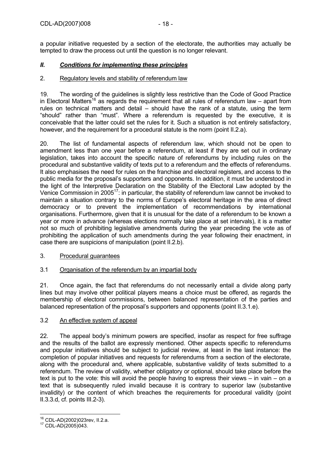a popular initiative requested by a section of the electorate, the authorities may actually be tempted to draw the process out until the question is no longer relevant.

# *II. Conditions for implementing these principles*

# 2. Regulatory levels and stability of referendum law

19. The wording of the guidelines is slightly less restrictive than the Code of Good Practice in Electoral Matters<sup>16</sup> as regards the requirement that all rules of referendum law – apart from rules on technical matters and detail – should have the rank of a statute, using the term "should" rather than "must". Where a referendum is requested by the executive, it is conceivable that the latter could set the rules for it. Such a situation is not entirely satisfactory, however, and the requirement for a procedural statute is the norm (point II.2.a).

20. The list of fundamental aspects of referendum law, which should not be open to amendment less than one year before a referendum, at least if they are set out in ordinary legislation, takes into account the specific nature of referendums by including rules on the procedural and substantive validity of texts put to a referendum and the effects of referendums. It also emphasises the need for rules on the franchise and electoral registers, and access to the public media for the proposal's supporters and opponents. In addition, it must be understood in the light of the Interpretive Declaration on the Stability of the Electoral Law adopted by the Venice Commission in 2005<sup>17</sup>: in particular, the stability of referendum law cannot be invoked to maintain a situation contrary to the norms of Europe's electoral heritage in the area of direct democracy or to prevent the implementation of recommendations by international organisations. Furthermore, given that it is unusual for the date of a referendum to be known a year or more in advance (whereas elections normally take place at set intervals), it is a matter not so much of prohibiting legislative amendments during the year preceding the vote as of prohibiting the application of such amendments during the year following their enactment, in case there are suspicions of manipulation (point II.2.b).

# 3. Procedural guarantees

# 3.1 Organisation of the referendum by an impartial body

21. Once again, the fact that referendums do not necessarily entail a divide along party lines but may involve other political players means a choice must be offered, as regards the membership of electoral commissions, between balanced representation of the parties and balanced representation of the proposal's supporters and opponents (point II.3.1.e).

# 3.2 An effective system of appeal

22. The appeal body's minimum powers are specified, insofar as respect for free suffrage and the results of the ballot are expressly mentioned. Other aspects specific to referendums and popular initiatives should be subject to judicial review, at least in the last instance: the completion of popular initiatives and requests for referendums from a section of the electorate, along with the procedural and, where applicable, substantive validity of texts submitted to a referendum. The review of validity, whether obligatory or optional, should take place before the text is put to the vote: this will avoid the people having to express their views – in vain – on a text that is subsequently ruled invalid because it is contrary to superior law (substantive invalidity) or the content of which breaches the requirements for procedural validity (point II.3.3.d, cf. points III.2-3).

 $\overline{a}$ <sup>16</sup> CDL-AD(2002)023rev, II.2.a.<br><sup>17</sup> CDL-AD(2005)043.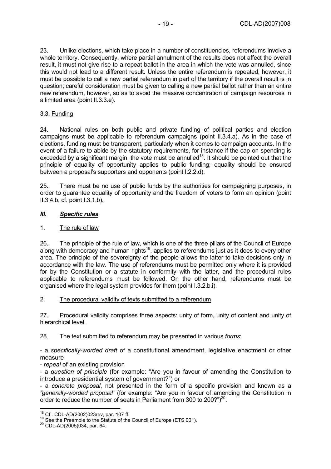23. Unlike elections, which take place in a number of constituencies, referendums involve a whole territory. Consequently, where partial annulment of the results does not affect the overall result, it must not give rise to a repeat ballot in the area in which the vote was annulled, since this would not lead to a different result. Unless the entire referendum is repeated, however, it must be possible to call a new partial referendum in part of the territory if the overall result is in question; careful consideration must be given to calling a new partial ballot rather than an entire new referendum, however, so as to avoid the massive concentration of campaign resources in a limited area (point II.3.3.e).

# 3.3. Funding

24. National rules on both public and private funding of political parties and election campaigns must be applicable to referendum campaigns (point II.3.4.a). As in the case of elections, funding must be transparent, particularly when it comes to campaign accounts. In the event of a failure to abide by the statutory requirements, for instance if the cap on spending is exceeded by a significant margin, the vote must be annulled<sup>18</sup>. It should be pointed out that the principle of equality of opportunity applies to public funding; equality should be ensured between a proposal's supporters and opponents (point I.2.2.d).

25. There must be no use of public funds by the authorities for campaigning purposes, in order to guarantee equality of opportunity and the freedom of voters to form an opinion (point II.3.4.b, cf. point I.3.1.b).

# *III. Specific rules*

# 1. The rule of law

26. The principle of the rule of law, which is one of the three pillars of the Council of Europe along with democracy and human rights<sup>19</sup>, applies to referendums just as it does to every other area. The principle of the sovereignty of the people allows the latter to take decisions only in accordance with the law. The use of referendums must be permitted only where it is provided for by the Constitution or a statute in conformity with the latter, and the procedural rules applicable to referendums must be followed. On the other hand, referendums must be organised where the legal system provides for them (point I.3.2.b.i).

# 2. The procedural validity of texts submitted to a referendum

27. Procedural validity comprises three aspects: unity of form, unity of content and unity of hierarchical level.

28. The text submitted to referendum may be presented in various *forms*:

- a *specifically-worded draft* of a constitutional amendment, legislative enactment or other measure

- *repeal* of an existing provision

- a *question of principle* (for example: "Are you in favour of amending the Constitution to introduce a presidential system of government?") or

- a *concrete proposal*, not presented in the form of a specific provision and known as a *"generally-worded proposal"* (for example: "Are you in favour of amending the Constitution in order to reduce the number of seats in Parliament from 300 to 200?")<sup>20</sup>.

<sup>&</sup>lt;sup>18</sup> Cf. CDL-AD(2002)023rev, par. 107 ff.

<sup>19</sup> See the Preamble to the Statute of the Council of Europe (ETS 001).<br><sup>20</sup> CDL-AD(2005)034, par. 64.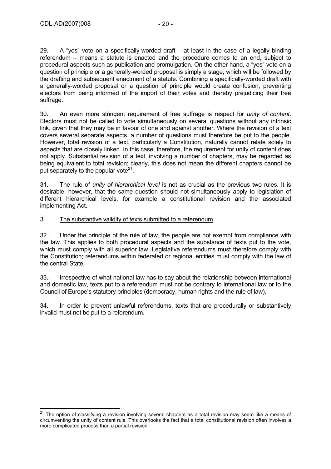$\overline{a}$ 

29. A "yes" vote on a specifically-worded draft – at least in the case of a legally binding referendum – means a statute is enacted and the procedure comes to an end, subject to procedural aspects such as publication and promulgation. On the other hand, a "yes" vote on a question of principle or a generally-worded proposal is simply a stage, which will be followed by the drafting and subsequent enactment of a statute. Combining a specifically-worded draft with a generally-worded proposal or a question of principle would create confusion, preventing electors from being informed of the import of their votes and thereby prejudicing their free suffrage.

30. An even more stringent requirement of free suffrage is respect for *unity of content*. Electors must not be called to vote simultaneously on several questions without any intrinsic link, given that they may be in favour of one and against another. Where the revision of a text covers several separate aspects, a number of questions must therefore be put to the people. However, total revision of a text, particularly a Constitution, naturally cannot relate solely to aspects that are closely linked. In this case, therefore, the requirement for unity of content does not apply. Substantial revision of a text, involving a number of chapters, may be regarded as being equivalent to total revision; clearly, this does not mean the different chapters cannot be put separately to the popular vote<sup>21</sup>.

31. The rule of *unity of hierarchical level* is not as crucial as the previous two rules. It is desirable, however, that the same question should not simultaneously apply to legislation of different hierarchical levels, for example a constitutional revision and the associated implementing Act.

# 3. The substantive validity of texts submitted to a referendum

32. Under the principle of the rule of law, the people are not exempt from compliance with the law. This applies to both procedural aspects and the substance of texts put to the vote, which must comply with all superior law. Legislative referendums must therefore comply with the Constitution; referendums within federated or regional entities must comply with the law of the central State.

33. Irrespective of what national law has to say about the relationship between international and domestic law, texts put to a referendum must not be contrary to international law or to the Council of Europe's statutory principles (democracy, human rights and the rule of law).

34. In order to prevent unlawful referendums, texts that are procedurally or substantively invalid must not be put to a referendum.

<sup>&</sup>lt;sup>21</sup> The option of classifying a revision involving several chapters as a total revision may seem like a means of circumventing the unity of content rule. This overlooks the fact that a total constitutional revision often involves a more complicated process than a partial revision.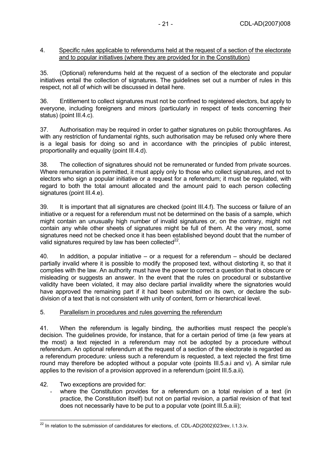### 4. Specific rules applicable to referendums held at the request of a section of the electorate and to popular initiatives (where they are provided for in the Constitution)

35. (Optional) referendums held at the request of a section of the electorate and popular initiatives entail the collection of signatures. The guidelines set out a number of rules in this respect, not all of which will be discussed in detail here.

36. Entitlement to collect signatures must not be confined to registered electors, but apply to everyone, including foreigners and minors (particularly in respect of texts concerning their status) (point III.4.c).

37. Authorisation may be required in order to gather signatures on public thoroughfares. As with any restriction of fundamental rights, such authorisation may be refused only where there is a legal basis for doing so and in accordance with the principles of public interest, proportionality and equality (point III.4.d).

38. The collection of signatures should not be remunerated or funded from private sources. Where remuneration is permitted, it must apply only to those who collect signatures, and not to electors who sign a popular initiative or a request for a referendum; it must be regulated, with regard to both the total amount allocated and the amount paid to each person collecting signatures (point III.4.e).

39. It is important that all signatures are checked (point III.4.f). The success or failure of an initiative or a request for a referendum must not be determined on the basis of a sample, which might contain an unusually high number of invalid signatures or, on the contrary, might not contain any while other sheets of signatures might be full of them. At the very most, some signatures need not be checked once it has been established beyond doubt that the number of valid signatures required by law has been collected $^{22}$ .

40. In addition, a popular initiative – or a request for a referendum – should be declared partially invalid where it is possible to modify the proposed text, without distorting it, so that it complies with the law. An authority must have the power to correct a question that is obscure or misleading or suggests an answer. In the event that the rules on procedural or substantive validity have been violated, it may also declare partial invalidity where the signatories would have approved the remaining part if it had been submitted on its own, or declare the subdivision of a text that is not consistent with unity of content, form or hierarchical level.

# 5. Parallelism in procedures and rules governing the referendum

41. When the referendum is legally binding, the authorities must respect the people's decision. The guidelines provide, for instance, that for a certain period of time (a few years at the most) a text rejected in a referendum may not be adopted by a procedure without referendum. An optional referendum at the request of a section of the electorate is regarded as a referendum procedure: unless such a referendum is requested, a text rejected the first time round may therefore be adopted without a popular vote (points III.5.a.i and v). A similar rule applies to the revision of a provision approved in a referendum (point III.5.a.ii).

42. Two exceptions are provided for:

- where the Constitution provides for a referendum on a total revision of a text (in practice, the Constitution itself) but not on partial revision, a partial revision of that text does not necessarily have to be put to a popular vote (point III.5.a.iii);

 $\overline{a}$  $^{22}$  In relation to the submission of candidatures for elections, cf. CDL-AD(2002)023rev, I.1.3.iv.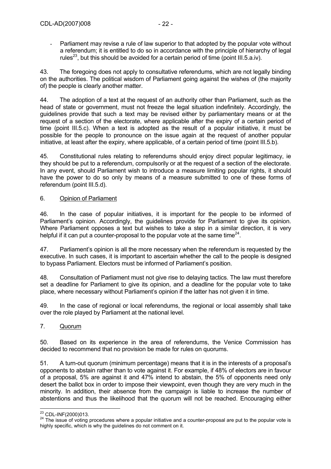Parliament may revise a rule of law superior to that adopted by the popular vote without a referendum; it is entitled to do so in accordance with the principle of hierarchy of legal rules<sup>23</sup>, but this should be avoided for a certain period of time (point III.5.a.iv).

43. The foregoing does not apply to consultative referendums, which are not legally binding on the authorities. The political wisdom of Parliament going against the wishes of (the majority of) the people is clearly another matter.

44. The adoption of a text at the request of an authority other than Parliament, such as the head of state or government, must not freeze the legal situation indefinitely. Accordingly, the guidelines provide that such a text may be revised either by parliamentary means or at the request of a section of the electorate, where applicable after the expiry of a certain period of time (point III.5.c). When a text is adopted as the result of a popular initiative, it must be possible for the people to pronounce on the issue again at the request of another popular initiative, at least after the expiry, where applicable, of a certain period of time (point III.5.b).

45. Constitutional rules relating to referendums should enjoy direct popular legitimacy, ie they should be put to a referendum, compulsorily or at the request of a section of the electorate. In any event, should Parliament wish to introduce a measure limiting popular rights, it should have the power to do so only by means of a measure submitted to one of these forms of referendum (point III.5.d).

# 6. Opinion of Parliament

46. In the case of popular initiatives, it is important for the people to be informed of Parliament's opinion. Accordingly, the guidelines provide for Parliament to give its opinion. Where Parliament opposes a text but wishes to take a step in a similar direction, it is very helpful if it can put a counter-proposal to the popular vote at the same time<sup>24</sup>.

47. Parliament's opinion is all the more necessary when the referendum is requested by the executive. In such cases, it is important to ascertain whether the call to the people is designed to bypass Parliament. Electors must be informed of Parliament's position.

48. Consultation of Parliament must not give rise to delaying tactics. The law must therefore set a deadline for Parliament to give its opinion, and a deadline for the popular vote to take place, where necessary without Parliament's opinion if the latter has not given it in time.

49. In the case of regional or local referendums, the regional or local assembly shall take over the role played by Parliament at the national level.

# 7. Quorum

50. Based on its experience in the area of referendums, the Venice Commission has decided to recommend that no provision be made for rules on quorums.

51. A turn-out quorum (minimum percentage) means that it is in the interests of a proposal's opponents to abstain rather than to vote against it. For example, if 48% of electors are in favour of a proposal, 5% are against it and 47% intend to abstain, the 5% of opponents need only desert the ballot box in order to impose their viewpoint, even though they are very much in the minority. In addition, their absence from the campaign is liable to increase the number of abstentions and thus the likelihood that the quorum will not be reached. Encouraging either

<sup>&</sup>lt;sup>23</sup> CDL-INF(2000)013.

<sup>&</sup>lt;sup>24</sup> The issue of voting procedures where a popular initiative and a counter-proposal are put to the popular vote is highly specific, which is why the guidelines do not comment on it.